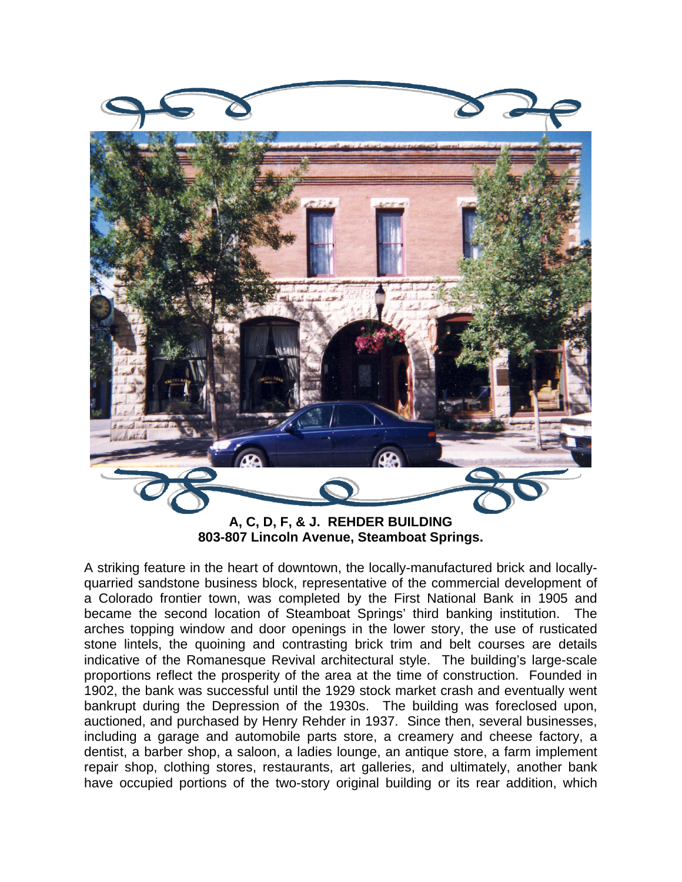

**803-807 Lincoln Avenue, Steamboat Springs.** 

A striking feature in the heart of downtown, the locally-manufactured brick and locallyquarried sandstone business block, representative of the commercial development of a Colorado frontier town, was completed by the First National Bank in 1905 and became the second location of Steamboat Springs' third banking institution. The arches topping window and door openings in the lower story, the use of rusticated stone lintels, the quoining and contrasting brick trim and belt courses are details indicative of the Romanesque Revival architectural style. The building's large-scale proportions reflect the prosperity of the area at the time of construction. Founded in 1902, the bank was successful until the 1929 stock market crash and eventually went bankrupt during the Depression of the 1930s. The building was foreclosed upon, auctioned, and purchased by Henry Rehder in 1937. Since then, several businesses, including a garage and automobile parts store, a creamery and cheese factory, a dentist, a barber shop, a saloon, a ladies lounge, an antique store, a farm implement repair shop, clothing stores, restaurants, art galleries, and ultimately, another bank have occupied portions of the two-story original building or its rear addition, which